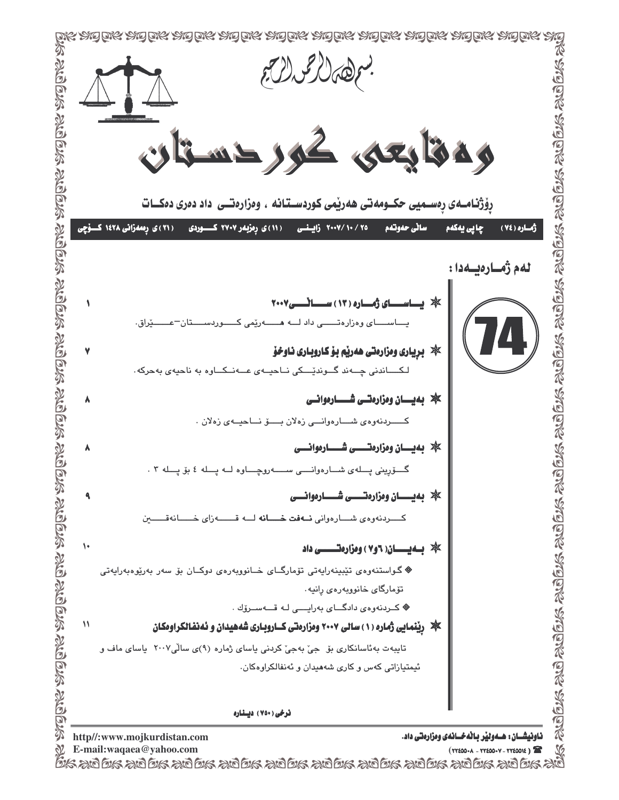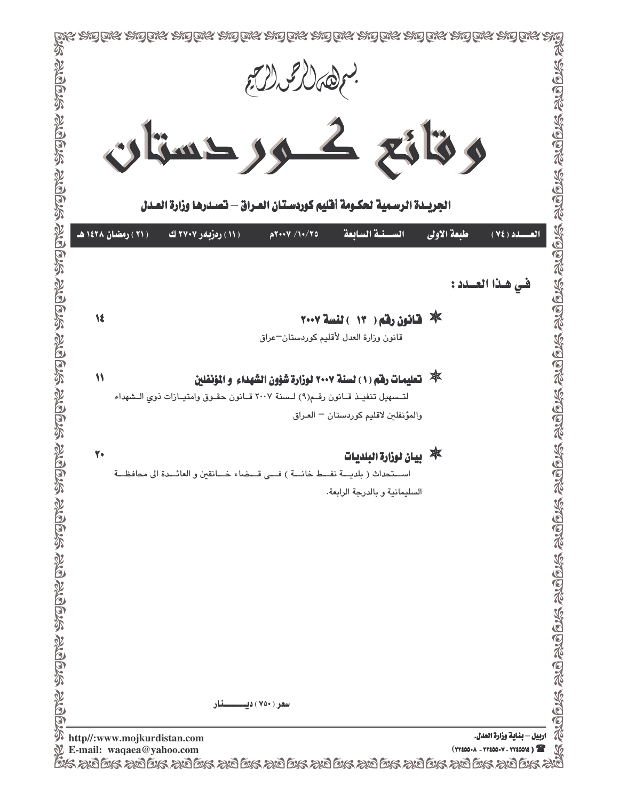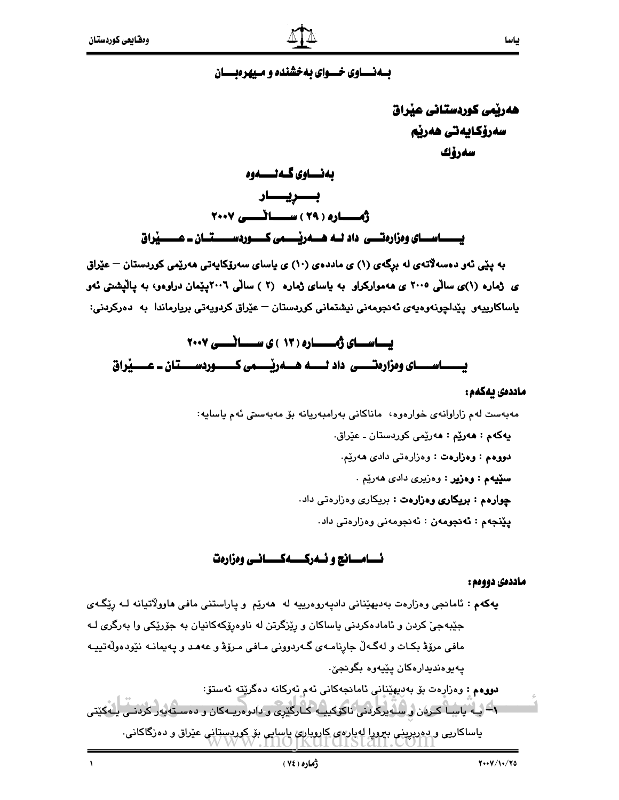#### بسه نسساوی خسسوای به خشنده و مسبهرهبسسان

هەرپمى كوردستانى عيراق سەرۆكايەتى ھەرپم سەرۆك

بياسا

بەنساوي گىەنسسەوە بـــــــريــــــــار ث العادة ( ٢٩ ) سمسا تسمى ٢٠٠٧ 

به پێی ئەو دەسەلاّتەی لە برگەی (۱) ی ماددەی (۱۰) ی پاسای سەرۆکاپەتی ھەرێمی کوردستان – عێراق ی ژماره (۱)ی سالّی ۲۰۰۵ ی ههموارکراو به پاسای ژماره (۲ ) سالّی ۲۰۰٦پیّمان دراوهو، به پالیشتی نهو ياساكارييەو پێداچونەوەيەي ئەنجومەنى نيشتمانى كوردستان – عێراق كردويەتى بريارماندا بە دەركردنى:

# يساسماي ژمسماره ( ١٣ ) ي سمسائمسي ٢٠٠٧

#### ماددەى بەكەم :

مەبەست لەم زاراوانەي خوارەوە، ماناكانى بەرامبەريانە بۆ مەبەستى ئەم ياسايە: **پهکهم : هەرێِم :** هەرێِمی کوردستان ـ عێراق. دووهم : وهزارهت : وهزارهتي دادي ههريم. سٽيهم : وهزير : وهزيري دادي ههريم . چوارهم : بريكارى وهزارهت : بريكارى وهزارهتى داد. **يێنجەم : ئەنجومەن** : ئەنجومەنى وەزارەتى داد.

#### نسامسانج و نسه رکسسه کسسانس ومزارهت

#### ماددهی دووهم :

پهکهم : ئامانجي وهزارهت بهديهێناني داديهروهرييه له ههرێم و پاراستني مافي هاوولاتيانه لـه رێگـهي جێبهجیٚ کردن و ئامادهکردنی یاساکان و رێزگرتن له ناوهرۆکهکانیان به جۆرێکی وا بهرگری لـه مافي مرۆۋ بكـات و لهگـهڵ جارنامـهي گـهردووني مـافي مـرۆۋ و عهـهـد و پـهيمانـه نێودهوڵهتييـه يەيوەندىدارەكان يێيەوە بگونجىّ.

دووەم : وەزارەت بۆ بەديھێنانى ئامانجەكانى ئەم ئەركانە دەگرێتە ئەستۆ: ۹- بيه ياسيا كربان و سبه يركردنى ناكوكييبه كـارگێرى و دادوهريـه كان و دهسـتابهر كردنــى يــه كێتى ياساکاريي و دوربريني ببرورا لهيار هي کاروياري ياسايي بۆ کوردستاني عيراق و دەرگاکاني٠

 $\sqrt{2}$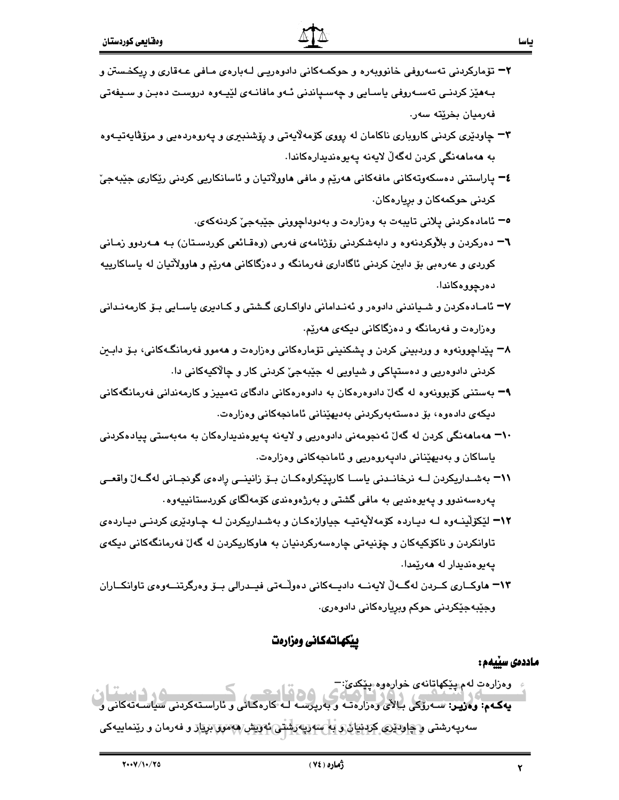- ۳<del>-</del> تۆمارکردنی تەسەروفی خانووبەرە و حوکمـەکانی دادوەریـی لـەبارەی مـافی عـەقاری و رِیکخـستن و بـههێز کردنـی تهسـهروفی یاسـایی و چهسـپاندنی ئـهو مافانـهی لێیـهوه دروسـت دهبـن و سـیفهتی فەرميان بخرێتە سەر.
- ۳- چاودێری کردنی کاروباری ناکامان له رِووی کۆمەلاّیەتی و رِۆشنبیری و پەروەردەيی و مرۆڤايەتيـەوە به ھەماھەنگى كردن لەگەلّ لايەنە پەيوەنديدارەكاندا.
- ٤− پاراستنی دهسکهوتهکانی مافهکانی ههرێم و مافی هاوولاٌتیان و ئاسانکاریی کردنی رێکاری جێبهجیٚ کردنی حوکمهکان و بریار<mark>هکان</mark>.
	- <sup>0</sup> ئامادەكردنى پلانى تايبەت بە وەزارەت و بەدوداچوونى جێبەجىٚ كردنەكەئ.
- ٦− دەركردن و بلأوكردنەوە و دابەشكردنى رۆژنامەي فەرمى (وەقـائعى كوردسـتان) بـه ھـەردوو زمـانى کوردی و عهرهبی بۆ دابین کردنی ئاگاداری فهرمانگه و دهزگاکانی ههریم و هاوولأتیان له یاساکارییه دەرچورەكاندا.
- <mark>۷ -</mark> ئامـادەكردن و شـياندنى دادوەر و ئەنـدامانى داواكـارى گـشتى و كـادىرى ياسـايى بـۆ كارمەنـدانى وهزارهت و فهرمانگه و دهزگاکانی دیکهی ههریم.
- ۸− پێداچوونهوه و وردبینی کردن و پشکنینی تۆمارهکانی وهزارهت و ههموو فهرمانگهکانی، بـۆ دابـین کردنی دادوهریی و د<mark>هستپاکی و شیاویی له جێبهجی</mark>٘ کردنی کار و چالاکیهکانی دا
- ۹– بهستنی کۆبورنەوه لە گەلّ دادوەرەککان بە دادوەرەکانی دادگای تەمييز و کارمەندانی فەرمانگەکانی دیکهی دادهوه، بۆ دەستەبەرکردنی بەدیهێنانی ئامانجەکانی وەزارەت.
- **۰۱– م**هما**م**هنگی کردن له گهلٌ ئهنجومهنی دادوهریی و لایهنه پهیوهندیدارهکان به مهبهستی پیادهکردنی یاساکان و ب<mark>ەدیهێنانی</mark> دادپەروەریی و ئامانجەکانی وەزارەت.
- ٦١ بهشـداريكردن لــه نرخانـدنى ياسـا كارپێكراوهكـان بــوّ زانينــى رِادهى گونجـانى لهگــهلّ واقعــى پهرهسهندوو و پهيوهنديي به مافي گشتي و بهرژهوهندي كۆمەلگاي كوردستانييەوه .
- ۱۲– لێکۆلینـهوه لـه دیـارده کۆمهلأیهتیـه جیاوازهکـان و بهشـداریکردن لـه چـاودێری کردنـی دیـاردهی تاوانکردن و ناکۆکیەکان و چۆنیەتى چارەسەرکردنیان بە ھاوکاریکردن لە گەلّ فەرمانگەکانى دیکەی پەيوەندىدار لە ھەرێمدا.
- ١٣– هاوكــاري كــردن لهگــهڵ لايهنـــه داديــهكاني دهولْــهتي فيــدرالي بــوّ وهرگرتنـــهوهي تاوانكــاران وجێبهجێکردنی حوکم وبرِيارهکانی دادوهری٠

#### پيكهاتهكانى ومزارمت

#### ماددەى سێيەم :

- 
-<0
=-<0 =%<0=== =
%6(X=<#=4 =!647=! د ودرروت تام پيدي آهن مي دورووه پيدي.<br>د است که د است : سهروی د الای د درار د ته و بهروسته و سەرپەرشتى و چاود*ېرى* كردىيان و بە سەرپەرشتى ئەرىش ھەمور بريار و فەرمان و رينماييەكى وهزارهت لهم پ<mark>ێکهاتانهی خوارهوه پێکدێ</mark>:¬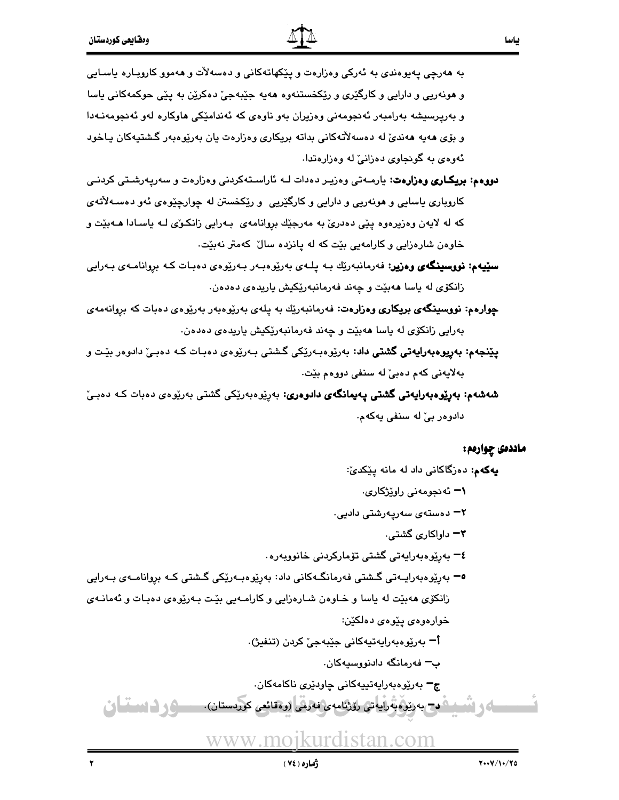به هەرچى پەيوەندى بە ئەركى وەزارەت و پێكھاتەكانى و دەسەلات و ھەموو كاروبـارە ياسـايى و هونهریی و دارایی و کارگێری و رێِکخستنهوه ههیه جێبهجیٚ دهکرێن به پێی حوکمهکانی یاسا و بەرپرسیشە بەرامبەر ئەنجومەنى وەزیران بەو ناوەی كە ئەندامێكى ھاوكارە لەو ئەنجومەنـﻪدا و بۆی هەيە ھەندىّ لە دەسەلاتەكانى بداتە بريكارى وەزارەت يان بەرێوەبەر گشتيەكان يـاخود ئهوهي به گونجاوي دهزانيّ له وهزارهتدا.

- **دووهم: بریکاری وهزارهت:** یارمـهتی وهزیـر دهدات لـه ئاراسـتهکردنی وهزارهت و سهرپهرشـتی کردنـی کاروباری ياسايی و هونهريی و دارايی و کارگێريی و رێکخستن له چوارچێوهی ئهو دهسـهلأتهی که له لایهن وهزیرهوه پێی دهدریٌ به مهرجێك بروانامهی بـهرایی زانكـوٌی لـه یاسـادا هــهبیّت و خاوهن شارهزایی و کارامهیی بێت که له پانزده سالٌ کهمتر نهبێت.
- **سٽيهم: نووسينگەي وەزير:** فەرمانبەرێِك بـه پلـهى بەرێوەبـەر بـەرێوەى دەبـات كـه بړوانامـەى بـەرايى زانكۆى لە ياسا ھەبێت و چەند فەرمانبەرێكيش ياريدەى دەدەن.
- <mark>چوارەم: نووسىنگەي بريكارى وەزارەت</mark>: فەرمانبەرێك بە پلەي بەرێوەبەر بەرێوەي دەبات كە بروانەمەي بەرايى زانكۆى لە ياسا ھەبێت و چەند فەرمانبەرێكيش ياريدەي دەدەن.
- **پێنجهم: بەرپوەبەرايەتى گشتى داد**: بەرێوەبەرێکى گشتى بـەرێوەى دەبـات کـه دەبـىٚ دادوەر بێت و بهلايەنى كەم دەبئ لە سنفى دووەم بێت.
- **شەشەم: بەرێوەبەرايەتى گشتى يەيمانگەي دادوەرى:** بەرێوەبەرێكى گشتى بەرێوەي دەبات كـﻪ دەبـێ دادوهر بيّ له سنفي پهکهم.

#### ماددەى چوارەم :

**يەكەم:** دەزگاكانى داد لە مانە پێكدىٚ: **۱ –** ئەنجومەنى راوێژكارى. ۲ - دەستەي سەريەرشتى دادي<u>ي</u>. **۳–** داواکاری گشتی. **٤−** بەرێوەبەرايەتى گشتى تۆماركردنى خانووبەرە <sup>0</sup> – بەرپوەبەراپـەتى گىشتى فەرمانگـەكانى داد: بەرپوەبـەرپكى گىشتى كـە بروانامـەى بـەرايى زانکۆی هەبێت لە ياسا و خـاوەن شـارەزايى و کارامـەيى بێت بـەرێوەی دەبـات و ئەمانـەی خوارەوەى پێوەى دەلكێن: **اً –** بەرێوەبەرايەتيەكانى جێبەجىٚ كردن (تنفيژ) ب<del>–</del> فەرمانگە دادنووسىيەكان. ج<sup>ـــ</sup> بەرێوەبەرا<mark>يەتپيەكانى چ</mark>اودێرى ناكامەكان.

ىردستان. ورداستان 
- - > <[R<E0'#<
!%!M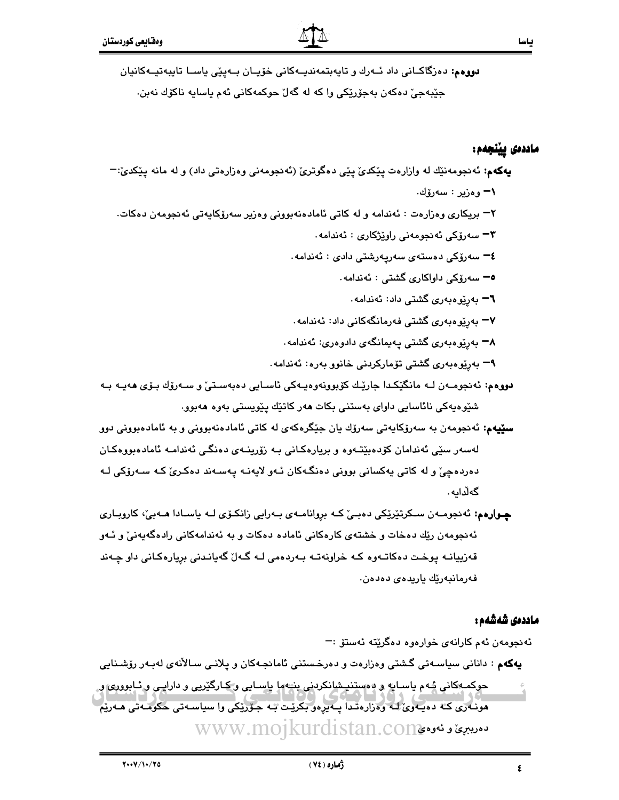دووهم: دەزگاكـانى داد ئــەرك و تايەبتمەنديــەكانى خۆيـان بــەپێى ياسـا تايبەتيــەكانيان جێڹەجىٚ دەكەن بەجۆرێكى وا كە لە گەلٚ حوكمەكانى ئەم ياسايە ناكۆك نەبن.

#### ماددەى يينجەم:

| يهکهم: ئەنجومەنێك لە وازارەت پێکدێ پێی دەگوترێ (ئەنجومەنى وەزارەتى داد) و لە مانە پێکدێ:¬                      |
|----------------------------------------------------------------------------------------------------------------|
| ١− وەزير : سەرۆك.                                                                                              |
| ۲– بریکاری وهزارهت : ئەندامە و لە کاتی ئامادەنەبوونی وەزیر سەرۆکايەتی ئەنجومەن دەکات.                          |
| - سەرۆكى ئەنجومەنى راوێژكارى $\,$ : ئەندامە $\,$                                                               |
| <b>٤–</b> سەرۆكى دەستەى سەرپەرشتى دادى : ئەندامە .                                                             |
| ە¬ سەرۆكى داواكارى گشتى : ئەندامە.                                                                             |
| <b>٦</b> – بەرێوەبەرى گشتى داد: ئەندامە.                                                                       |
| <mark>۳-</mark> بەرپوەبەر <i>ى</i> گشتى فەرمانگەكانى داد: ئەندامە                                              |
| ۸− بەرپوەبەرى گشتى پەيمانگەى دادوەرى: ئەندامە.                                                                 |
| <mark>۹</mark> – بەرپیوەبەرى گشتى تۆماركردنى خانوو بەرە: ئەندامە.                                              |
| <b>دووهم:</b> ئەنجومـەن لـﻪ مانگێکـدا جارێـك كۆبوونەوەيـﻪكى ئاسـايى دەبەسـتىٚ و سـﻪرۆك بـۆ <i>ى ھ</i> ەيـﻪ بـﻪ |
| شێوەيەكى نائاسايى داواى بەستنى بكات ھەر كاتێك پێويستى بەوە ھەبوو.                                              |
| <b>سێیه</b> م: ئەنجومەن بە سەرۆکايەتى سەرۆك يان جێگرەکە <i>ی</i> لە کاتى ئامادەنەبوونى و بە ئامادەبوونى دوو    |
| لەسەر سێی ئەندامان کۆدەبێتـەوە و بریارەکـانی بـە زۆرینـەی دەنگـی ئەندامـە ئامادەبووەکـان                       |
| دەردەچىؒ و لە كاتى يەكسانى بوونى دەنگـەكان ئـەو لايەنـە پـەسـەند دەكـرىؒ كـە سـەرۆكى لـە                       |
| گەڵدايە.                                                                                                       |
| <b>چـوارەم:</b> ئەنجومـەن سـكرتێرێكى دەبـێ كـە بڕوانامـەی بـەرايى زانكـۆی لـە ياسـادا ھـەبێ، كاروبـاری         |
| ئەنجومەن رێك دەخات و خشتەي كارەكانى ئامادە دەكات و بە ئەندامەكانى رادەگەيەنىٚ و ئـەو                           |
|                                                                                                                |

قەزییانــه پوخـت دەكاتــەوە كــه خراونەتــه بــەردەمى لــه گــەلّ گەيانـدنى بږيارەكـانى داو چــەند فەرمانبەرێك ياريدەي دەدەن.

#### ماددەى شەشەم :

٤

ئەنجومەن ئەم كارانەي خوارەوە دەگرێتە ئەستۆ :− يهكهم : دانانی سیاسـهتی گشتی وهزارهت و دهرخستنی ئامانجـهکان و پلانـی سـالأنهى لهبـهر رۆشـنايی حوکمهکاني شهم ياسـايه و دمستنيـشانکردني بنيـهما ياسـايي و کـارگێريي و دارايـي و ئـابووري و مونـُهُرَىٰ کـُهُ دَهۡيَـهُوئَ لَـهُ وَهُرَارَهُتَـدَا يَـهُۥيرِهُو بَكُرِيِّـتَ بَـهُ جَـوَّرِيِّكَى وا سياسـهتى حكومَـهتى مـهْرَيْمُ www.mojkurdistan.com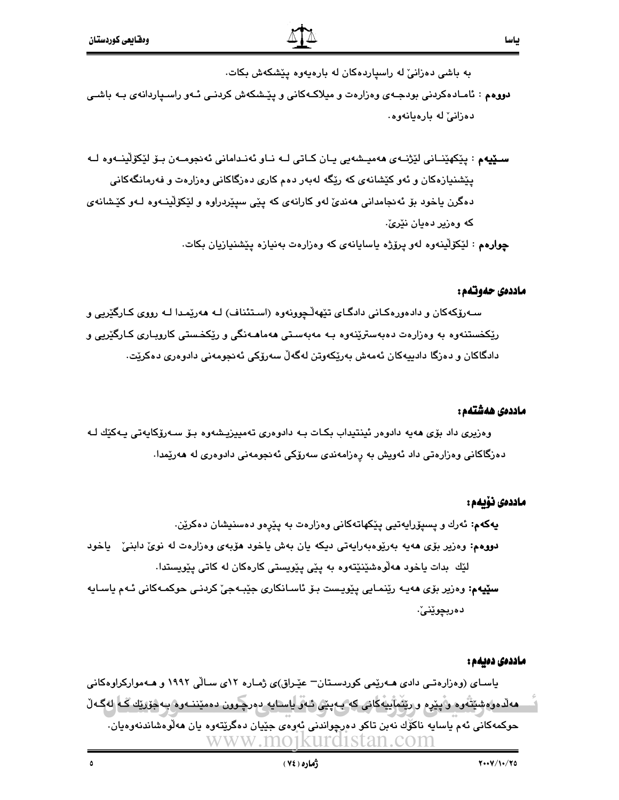به باشی دهزانی له راسیاردهکان له بارهیهوه ییشکهش بکات.

**دووهم** : ئامـادەكردنى بودجـهى وەزارەت و ميلاكـهكانى و يێـشكهش كردنـى ئـهو راسىياردانهى بـه باشـى دەزانى لە بارەيانەوە.

**ســێيه**م : پێکهێنــاني لێژنــهي ههميــشهيي پــان کــاتي لــه نــاو ئهنـداماني ئهنجومــهن بــۆ لێکۆلێنــهوه لــه یێشنیازهکان و ئەو کێشانەي کە رێگە لەبەر دەم کاری دەزگاکانی وەزارەت و فەرمانگەکانی دهگرن باخود بۆ ئەنجامدانى ھەندىّ لەو كارانەي كە يێى سيێردراوە و لێكۆلينـەوە كەو كێشانەي که وهزیر دهبان نێریٚ.

چوارهم : لَيْكَوْلْيِنُّهُوه لَهُو يَرْوُرْهُ بِإسابانَهِي كَه وَهزارهت بِهنيازَه يَيْشَنيازيان بِكات.

#### ماددەي حەوتەم :

بياسا

سـهرۆکهکان و دادەورەکـانى دادگـاى تێهەڵـچوونەوە (اسـتئناف) لـه ھەرێمـدا لـه رووى کـارگێريى و رێکخستنەوه بە وەزارەت دەبەسترێنەوە بـە مەبەسـتى ھەماھـەنگى و رێکخـستى کاروبـارى کـارگێريى و دادگاکان و دەزگا دادېيەکان ئەمەش بەرێکەوتن لەگەڵ سەرۆکى ئەنجومەنى دادوەرى دەکرێت.

#### ماددەى ھەشتەم :

وەزيرى داد بۆي ھەيە دادوەر ئىنتىداب بكـات بـە دادوەرى تەمييزيـشەوە بـۆ سـەرۆكايەتى يـەكێك لـە دەزگاكانى وەزارەتى داد ئەويش بە رەزامەندى سەرۆكى ئەنجومەنى دادوەرى لە ھەرێمدا.

#### ماددەى ئۆيەم :

**پهکهم:** ئەرك و پسپۆرايەتيى پێکهاتەکانى وەزارەت بە پێرەو دەسنيشان دەكرێن. **دووهم:** وەزیر بۆی ھەیە بەرێوەبەرایەتى دیکە یان بەش یاخود ھۆبەی وەزارەت لە نویٰ دابنیٰ یاخود لێك بدات یاخود مەلّۈەشێنێتەوە بە يێی یێویستی کارەکان لە کاتی یێویستدا. **سٽيهم:** وەزير بۆي ھەپـه رێنمـايي پێوپـست بـۆ ئاسـانكاري جێبـهجێ كردنـي حوكمـهكاني ئـهم ياسـايه دەربچوێنىٚ٠

#### ماددەى دەيەم :

یاسـای (وهزارهتـی دادی هــهرێمی کوردسـتان− عێـراق)ی ژمـاره ۱۲ی سـالّی ۱۹۹۲ و هـهموارکراوهکانی هەلدەرەشپتەرە و يېرە ورېشابيەكانى كە بەينى ئەۋ ياسايە دەرچىوون دەميننــەوە بـەجۆريك كــە لەگــەلّ حوکمهکاني ئهم ياسايه ناکوِّك نهبن تاکو دهرچواندني ئهوهي جێيان دهگرێتهوه يان ههڵوهشاندنهوهيان. www.mo1kurd1stan.com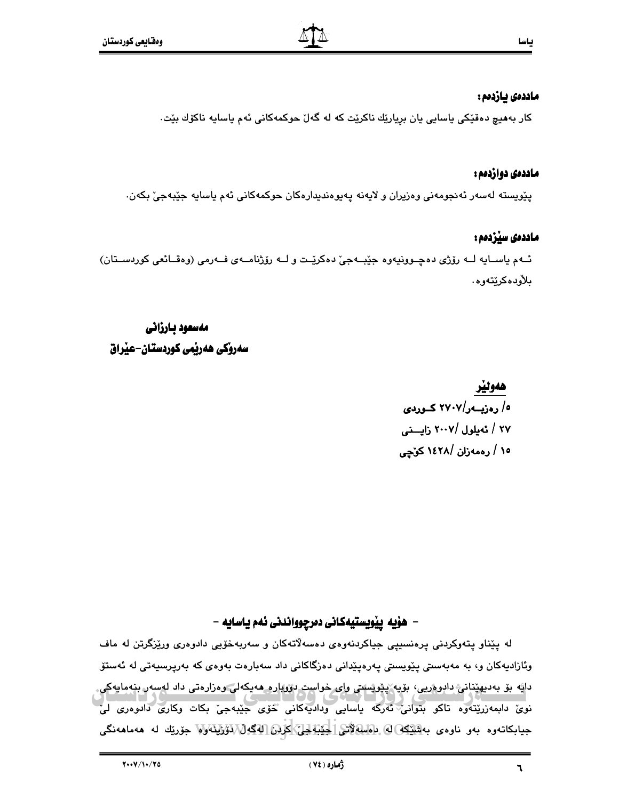#### ماددەى يازدەم :

کار بەھيچ دەقێکى ياسايى يان بريارێك ناكرێت کە لە گەلٚ حوکمەکانى ئەم ياسايە ناكۆك بێت٠

#### ماددەي دوازدەم :

پٽويسته لهسهر ئهنجومهني وهزيران و لايهنه پهيوهنديدارهکان حوکمهکاني ئهم ياسايه جێبهجيٚ بکهن.

#### ماددەى سيزدەم :

ئــهم ياســايه لــه رۆژى دەچــوونيەوە جێبــهجىٚ دەكرێــت و لــه رۆژنامــهى فــهرمى (وەقــائعى كوردســتان) بلأودەكرێتەوە.

مەسعود بـارزانى سەروكى ھەربمى كوردستان–عيراق

> هەولپر ه/ رەزبــەر/۲۷۰۷ كــوردى ۲۷ / ئەيلول /۲۰۰۷ زايىنى ١٥ / رەمەزان /١٤٢٨ كۆچى

### – هۆيه ييْويستيەكانى دەرچوواندنى ئەم ياسايە –

له پێناو پتەوكردنى پرەنسىيى جياكردنەوەي دەسەلاتەكان و سەربەخۆيى دادوەرى ورێزگرتن لە ماف وئازادیەکان و، بە مەبەستى پێویستى پەرەپێدانى دەزگاکانى داد سەبارەت بەوەي كە بەرپرسیەتى لە ئەستۆ دايَّه بۆ بەديهێنانى دادوەريى، بۆيە پێويستى واي خواست دوويارە ھەيكەلى وەزارەتى داد لەسەر بنەمايەكى. نوی دابمەزریتەوە تاکو بتوانی ئەركە ياسايى وداديەكانى خۆی جیبەجی بکات وکاری دادوەری لی جيابكاتەوە بەو ناوەي بەش<u>تك</u>ەل@ ئاھلىك**لاتى[خَيْنَةَلْجِلْنَ\كَرْ**ئِنَّ [4گەلْ\رَوْزْلِيْمَەولا جۆريك لە ھەماھەنگى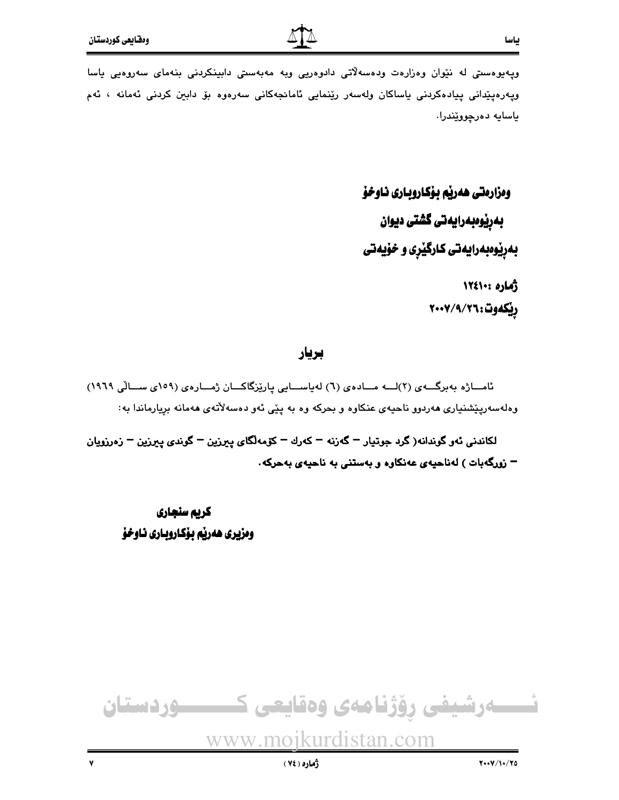بياسا

ويەيوەسىتى لە نێوان وەزارەت ودەسەلاتى دادوەريى ويە مەبەسىتى دابينكردنى بنەماي سەروەيى ياسا ويەرەپێدانى پيادەكردنى ياساكان ولەسەر رێنمايى ئامانجەكانى سەرەوە بۆ دابين كردنى ئەمانە ، ئەم ياسايه دەرچووێندرا.

> ومزارمتي هەرپم بۆكاروبارى ناوخۆ بەرێوەبەرايەتى گشتى ديوان بهریوهبهرایهتی کارگیری و خویهتی أماره ١٢٤١٠٠

> > ريكەوت:٧/٩/٢٦،٢٠٠٧

#### بريار

ئامــاژه بەبرگـــەي (٢)لـــه مـــادەي (٦) لەياســـايى يارێزگاكـــان ژمـــارەي (١٥٩ي ســـالّـى ١٩٦٩) وهلهسهرپیشنیاری ههردوو ناحیهی عنکاوه و بحرکه وه به پیّی ئهو دهسهلاّتهی ههمانه برِیارماندا به:

لکاندني ئەو گوندانە( گرد جوتيار – گەزنە – کەرك – كۆمەلگاي يېرزين – گوندى يېرزين – زەرزويان – زورگەبات ) لەناحيەي عەنكارە و بەستنى بە ناحيەي بەحركە.

كريم سنجاري وهزيري هەربّە بـۆكـاروبـاري نـاوخۆ

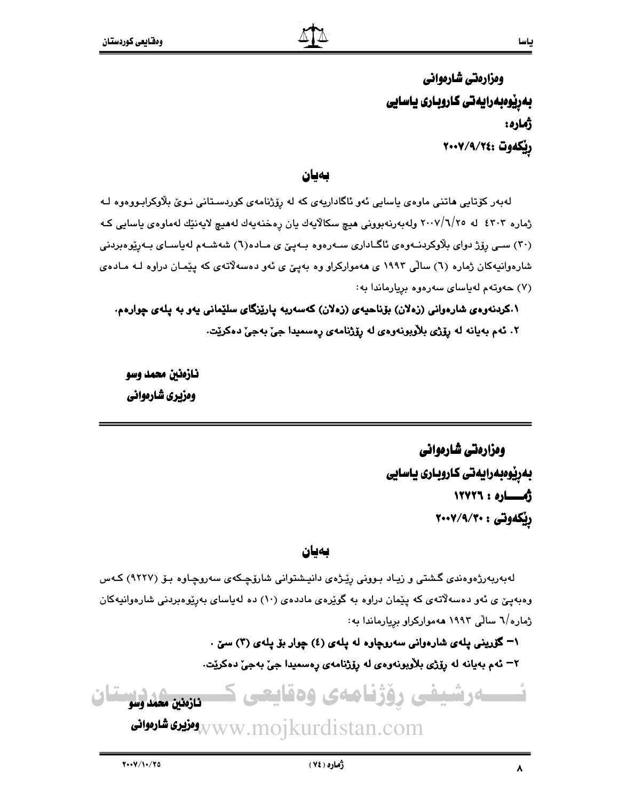ومزارمتي شارمواني بەرێوەبەرايەتى كاروبارى ياسايى **ژماره:** ريكەوت :٢٤/٩/٧٤٠٢

#### بەيان

لەبەر كۆتايى ھاتنى ماوەي ياسايى ئەو ئاگاداريەي كە لە رۆژنامەي كوردسىتانى نىوى بلاوكرابىووەوە لـە ژماره ٤٣٠٣ له ٢٠٠٧/٦/٢٥ ولهبەرنەبوونى هيچ سكالايەك يان رەخنەيەك لەھيچ لايەنێك لەماوەي ياسايي كـه (۳۰) سے رۆژ دوای بلاوکردنــهوهی ئاگــاداری ســهرهوه بــهیی ی مــاده(٦) شهشــهم لهیاســای بــهریوهبردنی شارهوانیهکان ژماره (٦) سالّی ۱۹۹۳ ی ههموارکراو وه بهییّ ی ئهو دهسهلاّتهی که پیّمـان دراوه لـه مـادهی (۷) حەوتەم لەياساى سەرەوە بريارماندا بە:

۰.کردنهوهی شارهوانی (زهلان) بۆناحیهی (زهلان) کهسهربه پارێزگای سلێمانی یهو به پلهی چوارهم. ٢. ئەم بەيانە لە رۆژى بلاّوبونەوەي لە رۆژنامەي رەسمىدا جىّ بەجىّ دەكريّت.

نازەنىن محمد وسو ومزیری شارموانی

> ومزارمتي شارمواني بەرپوەبەرايەتى كاروبارى ياسايى ألهـــاره: ١٢٧٢٦ ریکهوتی : ۲۰۰۷/۹/۳۰

#### بەيان

لهبهربهرژهوهندی گشتی و زیاد بـوونی رێـژهی دانیـشتوانی شارۆچـکهی سهروچـاوه بـۆ (۹۲۲۷) کـهس وهبهيني ي ئهو دهسهلاتهي که پێمان دراوه به گوێرهي ماددهي (١٠) ده لهياساي بهرێوهبردني شارهوانيهکان ژماره/٦ سالّی ۱۹۹۳ ههموارکراو برِیارماندا به:

> ۰– گۆرينى پلەى شارەوانى سەروچاوە لە پلەى (٤) چوار بۆ پلەى (٣) سێ . ٢– ئەم بەيانە لە يۆژى بلاربونەوەي لە يۆژنامەي رەسمىدا جى بەجى دەكريت.

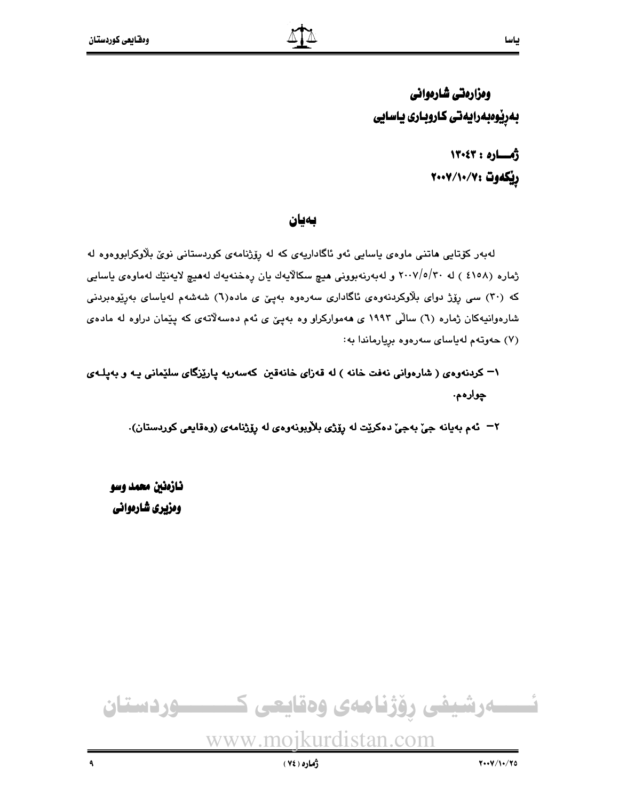ومزارمتي شارمواني بەرپوەبەرايەتى كاروبارى ياسايى

> أهساره: ١٣٠٤٣ ريكەوت :٧/١٠/٧٠٧

#### بەيان

لەبەر كۆتايى ھاتنى ماوەي ياسايى ئەو ئاگاداريەي كە لە رۆژنامەي كوردستانى نوێ بلاوكرابووەوە لە ژماره (٤١٥٨ ) له ٢٠٠٧/٥/٣٠ و لهبهرنهبووني هيچ سكالآيهك يان رِهخنهيهك لههيچ لايهنێك لهماوهي ياسايي که (۳۰) سی رۆژ دوای بلاوکردنهودی ئاگاداری سهرهوه بهینی ی ماده(٦) شهشهم لهپاسای بهریوهبردنی شارهوانیهکان ژماره (٦) سالی ۱۹۹۳ ی ههموارکراو وه بهییٌ ی ئهم دهسهلاتهی که پیْمان دراوه له مادهی (٧) حەوتەم لەياساي سەرەوە بريارماندا بە:

۱– کردنهوهي ( شارهواني نهفت خانه ) له قهزاي خانهقين کهسهربه پارێزگاي سلێماني پـه و بهپلـهي ڃوارهم.

٢– ئەم بەيانە جىّ بەجىّ دەكريّت لە رۆژى بلاّوبونەوەي لە رۆژنامەي (وەقايعى كوردستان).

نازەنين محمد وسو ومزیری شارموانی

ئــــــــەرشيفى رۆژنامەى وەقايعى كـــــــــــوردستان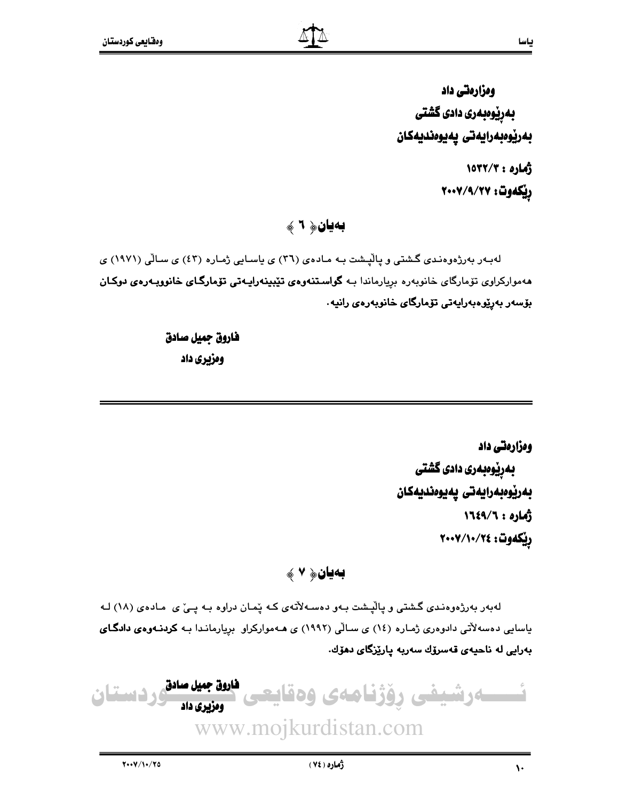ومزارمتی داد بەرپوەبەرى دادى گشتى بەرێوەبەرايەتى يەيوەنديەكان

> 10TY/T: 2016 ريكەوت: ٧٧/٩/٢٧

بەيان﴿ ٦ ﴾

لهبهر بهرزهوهندی گشتی و پالیشت به مادهی (٣٦) ی یاسایی ژماره (٤٣) ی سالّی (١٩٧١) ی مەمواركراوى تۆمارگاى خانوبەرە بريارماندا بـه **گواستنەوەي تێبينەراپـەتى تۆمارگـاى خانووبـەرەى دوكـان** بۆسەر بەرێوەبەراپەتى تۆمارگاى خانوبەرەى رانيە.

> فاروق جميل صادق ومزيري داد

> > ومزارمتی داد بەرێوەبەرى دادى گشتى بەرێوەبەرايەتى پەيوەنديەكان 1714/7 : 3 A) ريكەوت: ٢٠٠٧/١٠/٢٤

## بەيان﴿ ٧ ﴾

لهبهر بهرژهوهندی گشتی و پالّپشت بـهو دهسـهلاّتهی کـه پّمـان دراوه بـه پـیّ ی مـادهی (۱۸) لـه یاسایی دهسهلآتی دادوهری ژماره (١٤) ی سالی (١٩٩٢) ی هـهموارکراو بریارمانـدا بـه کردنـهوهی دادگـای بەرايى لە ناحيەي قەسرۆك سەربە يارێزگاي دەۆك.

فاروق جميل صادق ـەرشيفى رۆژنامەى وەة رو دستان ومزیری داد www.mojkurdistan.com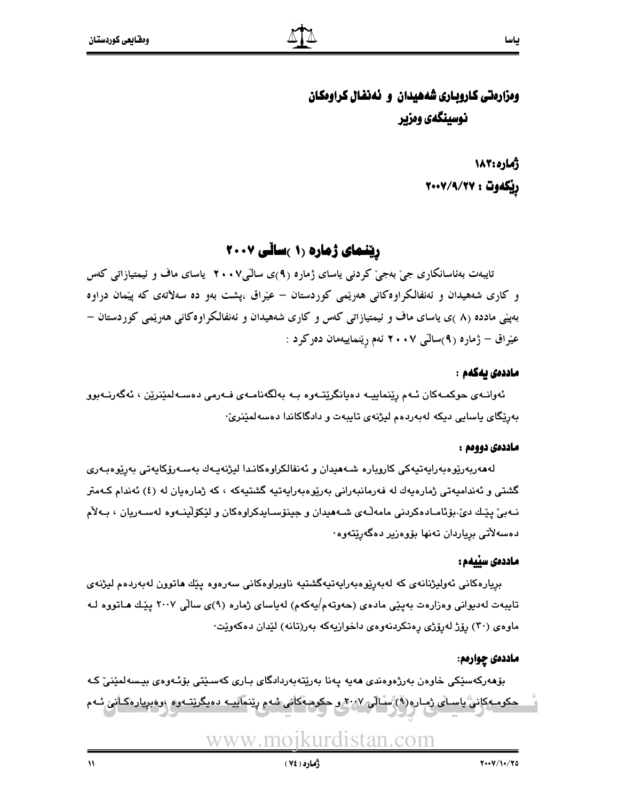# ومزارهتي كاروباري شههيدان و نهنفال كراومكان نوسینگهی ومزیر

**زُماره:۱۸۳** ريكەوت : ٧٧/٩/٢٧

رینمای ژماره (۱ )سانی ۲۰۰۷

تایبەت بەئاسانکاری جیؒ بەجیؒ کردنبی یاسای ژمارە (۹)ی سالٌی⁄ا ۲۰۰ یاسای ماف و ئیمتیازاتی کەس و کاری شههیدان و ئەنفالکراوەکانی هەرپىمی کوردستان – عیراق ،پشت بەو دە سەلاتەی کە پیمان دراوە بهیپنی مادده (۸ )ی پاسای ماف و ئیمتیازاتی کهس و کاری شههیدان و ئهنفالکراوهکانی ههرپیمی کوردستان – عیْراق – ژماره (۹)سالّی ۲۰۰۷ ئهم ریّنماییهمان دهرکرد :

#### ماددەى بەكەم :

ئەوانــەي حوكمــەكان ئــەم رێنماييــە دەيانگرێتــەوە بــە بەلگەنامــەي ڧـەرمى دەســەلمێنرێن ، ئەگەرنــەبوو بەرێگای ياسايي دىكە لەبەردەم ليژنەي تايبەت و دادگاكاندا دەسەلمێنرێ٠

#### ماددەي دووەم :

لەھەربەرێوەبەرايەتيەكى كاروبارە شـەھيدان و ئەنفالكراوەكانـدا ليژنەيـەك بەسـەرۆكايەتى بەرێوەبـەرى گشتی و ئەندامپەتی ژمارەپەك لە فەرمانبەرانی بەرێوەبەراپەتپە گشتپەكە ، كە ژمارەپان لە (٤) ئەندام كـەمتر نـهبيّ پێـك ديّ بۆئامـادەكردنى مامەڵەي شـەھيدان و جينۆسـايدكراوەكان و لێكۆلێينـەوە لەسـەريان ، بـەلأم دەسەلأتى برياردان تەنھا بۆوەزير دەگەرێتەوە٠

#### ماددەى سێيەم :

بريارەكانى ئەولپژنانەي كە لەبەرپوەبەرايەتيەگشتيە ناوبراوەكانى سەرەوە يێك ھاتوون لەبەردەم ليژنەي تایبهت لهدیوانی وهزارهت بهینی مادهی (حهوتهم/یهکهم) لهیاسای ژماره (۹)ی سالّی ۲۰۰۷ ییّـك هـاتووه ك ماوهي (٣٠) رۆژ لەرۆژى رەتكردنەوەي داخوازيەكە بەر(تانە) لێدان دەكەوێت٠

#### ماددهۍ چوارهم:

بۆھەركەسێكى خارەن بەرژەرەندى ھەيە يەنا بەرێتەبەردادگاى بـارى كەسـێتى بۆئـەرەى بيـسەلمێنىٚ كـە حکومهکانی یاسای ژماره(۹) سالی ۲۰۰۷ و حکومهکانی شهم رینماییـه دهیگریتـهوه ،وهبریارهکانی شهم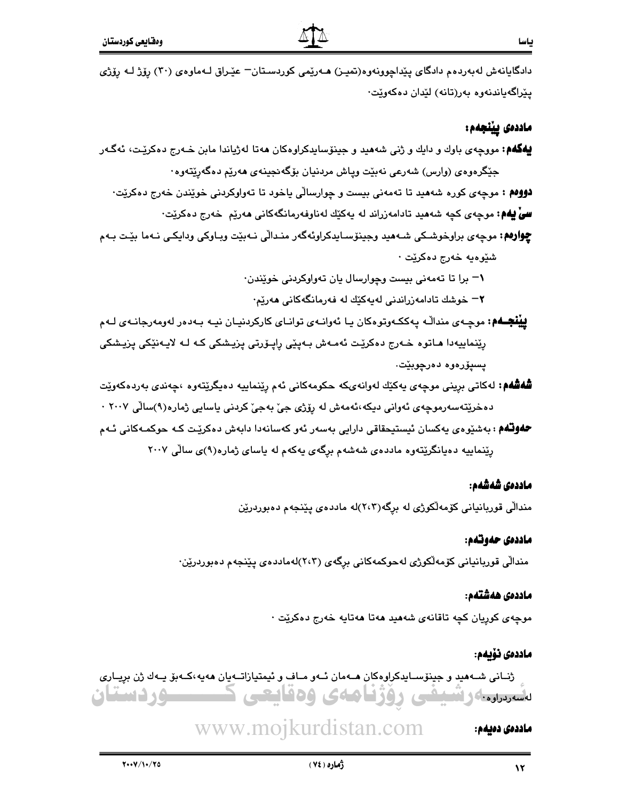دادگايانهش لهبهردهم دادگاي پێداچوونهوه(تميـز) هــهرێمي كوردسـتان− عێـراق لــهماوهي (۳۰) ږۆژ لــه ږۆژي يێراگەياندنەوە بەر(تانە) لێدان دەكەوێت٠

#### ماددەى يينجەم:

**پهگهم:** مووچهی باوك و دايك و ژني شههيد و جينۆسايدكراوهكان ههتا لهژياندا مابن خـهرج دهكريّـت، ئهگـهر جێگرەوەي (وارس) شەرعى نەبێت وپاش مردنيان بۆگەنجينەي ھەرێم دەگەرێتەوە٠ **دوومم :** موچهي کوره شههيد تا تهمهني بيست و چوارسالي ياخود تا تهواوکردني خوێندن خهرج دهکرێت·

**سیٌ یهم:** موجهی کچه شههید تادامهزراند له یهکێك لهناوفهرمانگهکانی ههرێم خهرج دهکرێت·

**چوارەم:** موچەي براوخوشكى شـەھىد وجينۆسـايدكراوئەگەر منـدالّى نـەبێت وبـاوكى ودايكـى نـەما بێت بـەم شنيوهيه خەرج دەكريىت ·

۰– برا تا تهمهنی بیست وجوارسال بان تهواوکردنی خویندن۰

۲− خوشك تادامەزراندنى لەپەكێك لە فەرمانگەكانى ھەرێم۰

**يينچــهم:** موچـهي منداڵـه پـهککـهوتوهکان پـا ئـهوانـهي توانـاي کارکردنيـان نيـه بـهدهر لهومهرجانـهي لـهم رِیْنماییەدا ماتوه خەرج دەکریْت ئەمەش بەپیْی راپۆرتی یزیشکی کە لـە لایەنیْکی یزیشکی يسيۆرەوە دەرچوبێت.

- **شُهشَهم:** لهکاتي بريني موچهي پهکێك لهوانهىکه حکومهکاني ئهم رێنماييه دهپگرێتهوه ،چهندي بهردهکهوێت دەخرێتەسەرموچەي ئەوانى دىكە،ئەمەش لە رۆژى جىّ بەجىّ كردنى ياسايى ژمارە(٩)سالّى ٢٠٠٧ ٠
- **حفوتهم** : بەشێوەي پەكسان ئېستېچقاقى دارايى بەسەر ئەو كەسانەدا دابەش دەكرێت كـﻪ حوكمـﻪكانى ئـﻪم رینماییه دهیانگریتهوه ماددهی شهشهم برگهی یهکهم له یاسای ژماره(۹)ی سالی ۲۰۰۷

#### ماددەى شەشەم:

مندالی قوربانیانی کۆمەلکوژی له برگە(۲،۳)له ماددەی پێنجەم دەبوردرێن

#### ماددەى حەوتەم:

مندالی قوربانیانی کۆمەلکوژی لەحوکمەکانی برگەی (۲،۳)لەماددەی يێنجەم دەبوردرێن٠

#### ماددەى ھەشتەم:

موچەى كوريان كچە تاقانەى شەھيد ھەتا ھەتايە خەرج دەكريت ·

#### ماددەى نۆيەم:

ژنیانی شیههید و جینۆسیایدکراوهکان هیهمان ئیهو میاف و ئیمتیازاتیهیان ههیه،کیهبۆ پیهك ژن برپیاری ــوردستان تقسروا والمستحى ووزناههى ودنايتي

#### www.mojkurdistan.com ماددەى دەيەم: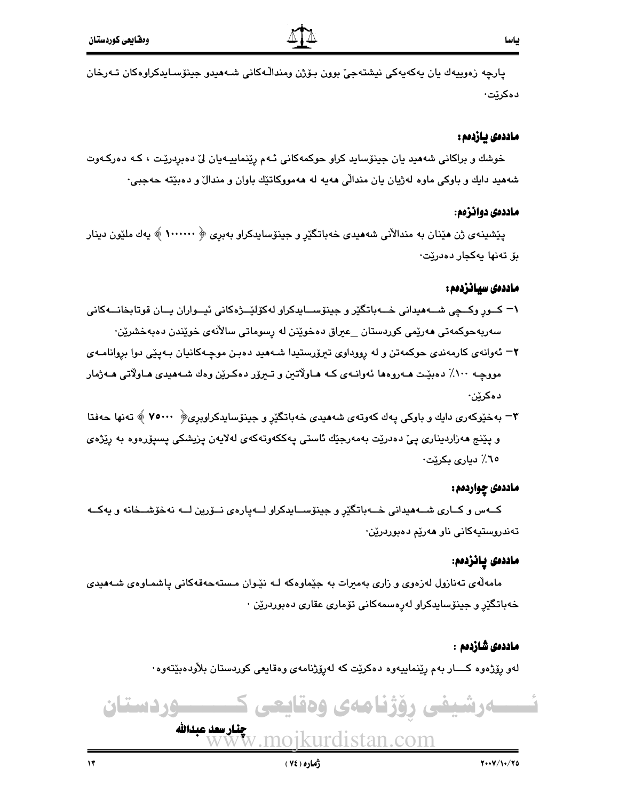ڀارچه زەوپيەك پان پەكەپەكى نېشتەجى٘ بوون بىۆژن ومنداڵـﻪكانى شـﻪھىدو جېنۆسـاپدكراوەكان تـﻪرخان دەكرێت∙

#### ماددەى يازدەم :

خوشك و براكاني شەھيد يان جينۆسايد كراو حوكمەكاني ئـهم رێنماييـهيان ليّ دەبردرێت ، كـه دەركـهوت شههید دایك و باوكي ماوه لهژیان یان مندالی ههیه له ههمووكاتێك باوان و مندال و دهبێته حهجبی٠

#### ماددەي دوانزەم:

يێشينەي ژن هێنان به مندالأنی شەهيدی خەباتگێر و جينۆسايدكراو بەبرى ﴿ ١٠٠٠٠٠٠ ﴾ يەك ملێون دينار بۆ تەنھا يەكجار دەدرێت٠

#### ماددەى سيانزدەم :

- ۱– کــور وکــچي شــههيداني خــهباتگێر و جينۆســايدکراو لهکۆلێــژهکاني ئيــواران يــان قوتابخانــهکاني سەربەحوكمەتى مەرێمى كوردستان \_عیراق دەخوێنن لە رسوماتى سالآنەي خوێندن دەبەخشرێن٠
- ۲– ئەوانەي كارمەندى حوكمەتن و لە رووداوى تېرۆرستېدا شىەھىد دەبىن موچـەكانيان بـەيێى دوا بروانامـەي مووچـه ١٠٠٪ دهبێت هــهروهها ئـهوانــهى كــه هــاولاتـين و تــیرۆر دهكـرێن وهك شــههیدى هـاولاتى هــهژمار دەكرێن٠
- ۳– بهخێوکهري دايك و باوکي پهك کهوتهي شههيدي خهباتگێر و جينۆساپدکراوپري﴿ ٧٥٠٠٠ ﴾ تهنها حهفتا و يێنج ھەزاردىنارى يېّ دەدرێت بەمەرجێك ئاستى يەككەوتەكەي لەلايەن يزيشكى يسىۆرەوە بە رێژەي ٦٥٪ ديارى بكريّت·

#### ماددهۍ چواردهم :

کــهس و کــاری شــههيداني خــهباتگێر و جينۆســايدکراو لــهپارهی نــۆرين لــه نهخۆشــخانه و يهکــه تەندروستيەكانى ناو ھەرپم دەبوردرين٠

#### ماددەى يانزدەم:

مامهڵەی تەنازول لەزەوی و زاری بەمیرات بە جێماوەکە لـە نێوان مـستەحەقەکانى پاشمـاوەی شـەھىدى خەباتگێر و جېنۆساپدكراو لەرەسمەكانى تۆمارى عقارى دەبوردرێن ٠

#### ماددەى شازدەم :

لەو رۆژەوە كــــار بەم رێنماييەوە دەكرێت كە لەرۆژنامەي وەقايعى كوردستان بلاْودەبێتەوە٠

# ۔دشیفی روژنامەی وەقايعی كــــــوردستان

چنار سعد عبدالله pikurdistan.com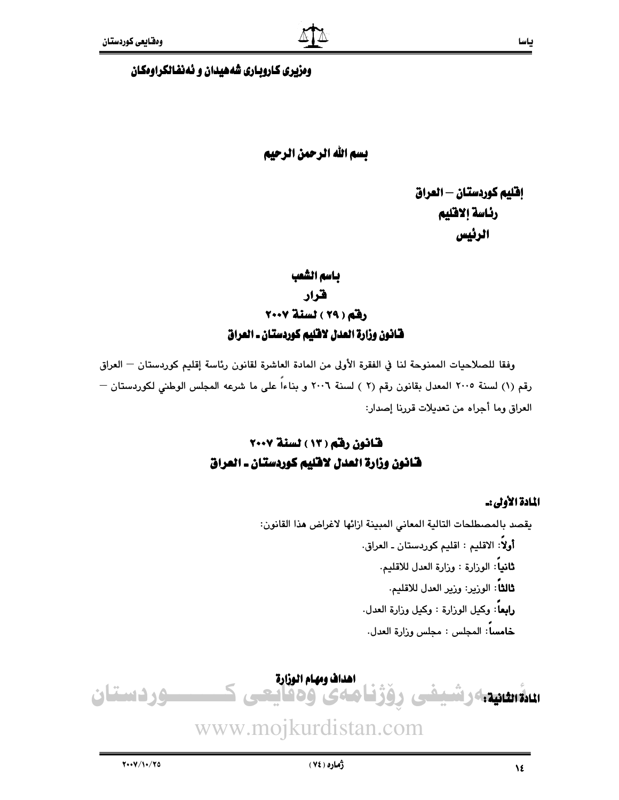#### ومزيري كاروباري شههيدان و ئهنفالكراومكان

## بسم الله الرحمن الرحيم

إفليم كوردستان — العراق رئاسة إلاقليم الرئيس

# باسم الشعب قرار رفق (٢٩) لسنة ٢٠٠٧ فانون وزارة العدل لافليم كوردستان ـ العراق

وفقا للصلاحيات الممنوحة لنا في الفقرة الأولى من المادة العاشرة لقانون رئاسة إقليم كوردستان — العراق رقم (١) لسنة ٢٠٠٥ المعدل بقانون رقم (٢ ) لسنة ٢٠٠٦ و بناءاً على ما شرعه المجلس الوطني لكوردستان — العراق وما أجراه من تعديلات قررنا إصدار:

# قانون رقم (١٣) لسنة ٢٠٠٧ فانون وزارة العدل لافليم كوردستان ـ العراق

#### المادة الأولى:.

يقصد بالمصطلحات التالية المعاني المبينة ازائها لاغراض هذا القانون: أولاً: الاقليم : اقليم كوردستان ـ العراق. **ثانياً**: الوزارة : وزارة العدل للاقليم. **ثالثاً**: الورير: ورير العدل للاقليم. رابعاً: وكيل الوزارة : وكيل وزارة العدل. خامساً: المجلس : مجلس وزارة العدل.

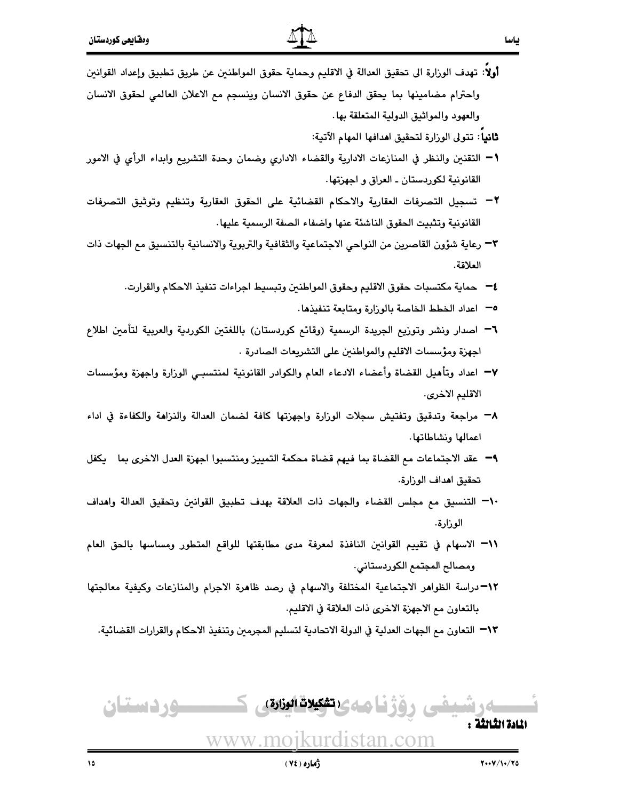أولا: تهدف الوزارة الى تحقيق العدالة في الاقليم وحماية حقوق المواطنين عن طريق تطبيق وإعداد القوانين واحترام مضامينها بما يحقق الدفاع عن حقوق الانسان وينسجم مع الاعلان العالمي لحقوق الانسان والعهود والمواثيق الدولية المتعلقة بها.

**ثانيا: تت**ولى الوزارة لتحقيق ا**م**دافها المهام الآتية:

بياسا

- 1− التقنين والنظر في المنازعات الادارية والقضاء الادارى وضمان وحدة التشريع وابداء الرأى في الامور القانونية لكوردستان ـ العراق و اجهزتها .
- ٢− تسجيل التصرفات العقارية والاحكام القضائية على الحقوق العقارية وتنظيم وتوثيق التصرفات القانونية وتثبيت الحقوق الناشئة عنها واضفاء الصفة الرسمية عليها.
- ٣– رعاية شؤون القاصرين من النواحي الاجتماعية والثقافية والتربوية والانسانية بالتنسيق مع الجهات ذات العلاقة.
	- ٤− حماية مكتسبات حقوق الاقليم وحقوق المواطنين وتبسيط اجراءات تنفيذ الاحكام والقرارت.
		- 0— اعداد الخطط الخاصة بالوزارة ومتابعة تنفيذها.
- ٦− اصدار ونشر وتوزيع الجريدة الرسمية (وقائع كوردستان) باللغتين الكوردية والعربية لتأمين اطلاع اجهزة ومؤسسات الاقليم والمواطنين على التشريعات الصادرة .
- ∀− اعداد وتأهيل القضاة وأعضاء الادعاء العام والكوادر القانونية لمنتسبـي الوزارة واجهزة ومؤسسات الاقليم الاخرى.
- ٨− مراجعة وتدقيق وتفتيش سجلات الوزارة واجهزتها كافة لضمان العدالة والنزاهة والكفاءة في اداء اعمالها ونشاطاتها.
- ٩− عقد الاجتماعات مع القضاة بما فيهم قضاة محكمة التمييز ومنتسبوا اجهزة العدل الاخرى بما \_ يكفل تحقيق اهداف الورارة.
- ٦٠¬ التنسيق مع مجلس القضاء والجهات ذات العلاقة بهدف تطبيق القوانين وتحقيق العدالة واهداف الوزارة.
- ٦١- الاسهام في تقييم القوانين النافذة لمعرفة مدى مطابقتها للواقع المتطور ومساسها بالحق العام ومصالح المجتمع الكوردستاني.
- 1۲¬دراسة الظواهر الاجتماعية المختلفة والاسهام في رصد ظاهرة الاجرام والمنازعات وكيفية معالجتها بالتعاون مم الاجهزة الاخرى ذات العلاقة في الاقليم.

١٣− التعاون مع الجهات العدلية في الدولة الاتحادية لتسليم المجرمين وتنفيذ الاحكام والقرارات القضائية.

<u>سوردستان</u> \_ (تشكيلات الوزارة)<br>-المادة الثالثة . www.moikurdistan.com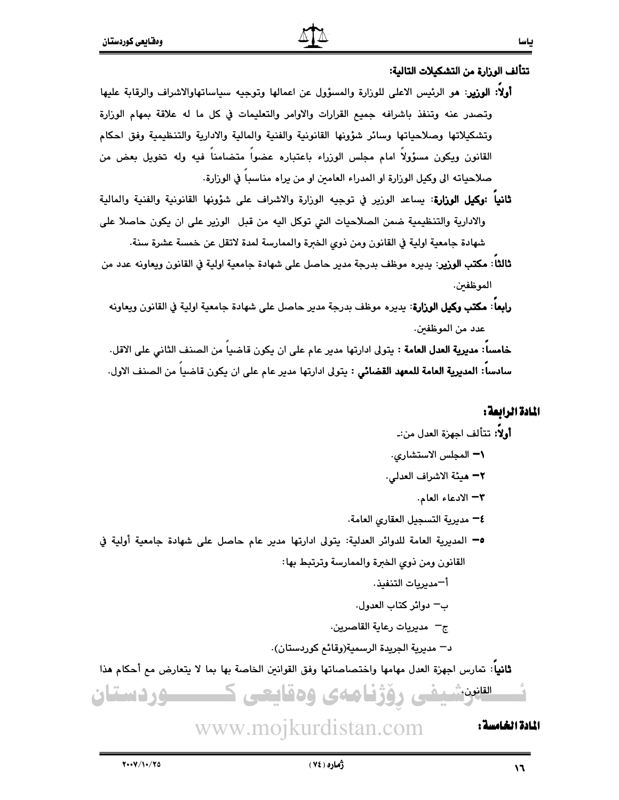تتألف الوزارة من التشكيلات التالية:

- أولا: الوزير: هو الرئيس الاعلى للوزارة والمسؤول عن اعمالها وتوجيه سياساتهاوالاشراف والرقابة عليها وتصدر عنه وتنفذ باشرافه جميع القرارات والاوامر والتعليمات في كل ما له علاقة بمهام الوزارة وتشكيلاتها وصلاحياتها وسائر شؤونها القانونية والفنية والمالية والادارية والتنظيمية وفق احكام القانون ويكون مسؤولا امام مجلس الوزراء باعتباره عضوا متضامنا فيه وله تخويل بعض من صلاحياته الى وكيل الوزارة او المدراء العامين او من يراه مناسبا في الوزارة.
- **ثانيا :وكيل الوزارة**: يساعد الوزير في توجيه الوزارة والاشراف على شؤونها القانونية والفنية والمالية والادارية والتنظيمية ضمن الصلاحيات التي توكل اليه من قبل الوزير على ان يكون حاصلا على شهادة جامعية اولية في القانون ومن ذوى الخبرة والممارسة لمدة لاتقل عن خمسة عشرة سنة.
- ثالثا: مكتب الوزير: يديره موظف بدرجة مدير حاصل على شهادة جامعية اولية في القانون ويعاونه عدد من الموظفىن.
- **رابعا : مكتب وكيل الوزارة**: يديره موظف بدرجة مدير حاصل على شهادة جامعية اولية في القانون ويعاونه عدد من الموظفين.

خامسا: مديرية العدل العامة : يتولى ادارتها مدير عام على ان يكون قاضيا من الصنف الثاني على الاقل. سادسا: المديرية العامة للمعهد القضائي : يتولى ادارتها مدير عام على ان يكون قاضيا من الصنف الاول.

#### المادة الرائعة:

المادة الخامسة :

 $\mathcal{M}$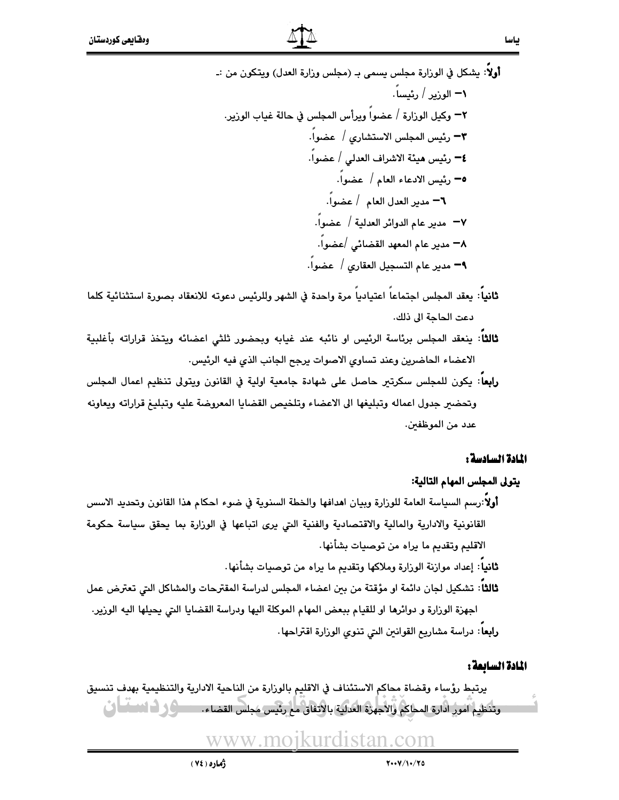أولاً: يشكل في الوزارة مجلس يسمى بـ (مجلس وزارة العدل) ويتكون من :ـ **ا سندر کے بار بھی ا** 

- .<br>**ثانياً**: يعقد المجلس احتماعاً اعتبادياً مرة واحدة في الشهر وللرئيس دعوته للانعقاد يصورة استثنائية كلما دعت الحاجة الى ذلك.
- **ثالثا**ً: ينعقد المجلس برئاسة الرئيس او نائبه عند غيابه وبحضور ثلثى اعضائه ويتخذ قراراته بأغلبية الاعضاء الحاضرين وعند تساوى الاصوات يرجح الجانب الذي فيه الرئيس.
- **رابعا**: يكون للمجلس سكرتير حاصل على شهادة جامعية اولية في القانون ويتولى تنظيم اعمال المجلس وتحضير جدول اعماله وتبليغها الى الاعضاء وتلخيص القضايا المعروضة عليه وتبليغ قراراته ويعاونه عدد من الموظفين.

#### المادة السادسة :

#### يتولى المجلس المهام التالية:

أولا:رسم السياسة العامة للوزارة وبيان اهدافها والخطة السنوية في ضوء احكام هذا القانون وتحديد الاسس القانونية والادارية والمالية والاقتصادية والفنية التي يرى اتباعها في الوزارة بما يحقق سياسة حكومة الاقليم وتقديم ما براه من توصيات بشأنها.

**ثانياً**: إعداد موازنة الوزارة وملاكها وتقديم ما يراه من توصيات بشأنها.

ثالثا: تشكيل لجان دائمة او مؤقتة من بين اعضاء المجلس لدراسة المقترحات والمشاكل التي تعترض عمل اجهزة الوزارة و دوائرها او للقيام ببعض المهام الموكلة اليها ودراسة القضايا التي يحيلها اليه الوزير. رابعا: دراسة مشاريع القوانين التي تنوى الوزارة اقتراحها.

#### المادة السائعة :

يرتبط رؤساء وقضاة محاكم الاستئناف في الاقليم بالوزارة من الناحية الادارية والتنظيمية بهدف تنسيق وتنظيم آمور ادارة المحاكم والأجهزة العدلية بالاتفاق مح رئيس مجلس القضاء. مستحكى أساسا التي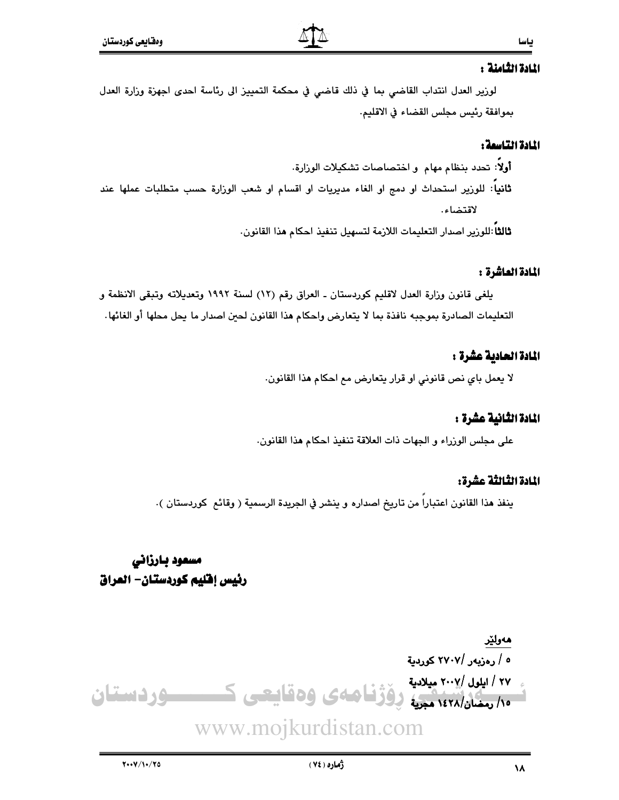#### المادة الثامنة :

لوزير العدل انتداب القاضي بما في ذلك قاضي في محكمة التمييز الى رئاسة احدى اجهزة وزارة العدل بموافقة رئيس مجلس القضاء في الاقليم.

#### المادة التاسمة :

أولاً: تحدد بنظام مهام و اختصاصات تشكيلات الوزارة. **ثانياً**: للوزير استحداث او دمج او الغاء مديريات او اقسام او شعب الوزارة حسب متطلبات عملها عند لاقتضاء.

ثالثاً :للورير اصدار التعليمات اللازمة لتسهيل تنفيذ احكام هذا القانون.

#### المادة العاشرة :

يلغي قانون وزارة العدل لاقليم كوردستان ـ العراق رقم (١٢) لسنة ١٩٩٢ وتعديلاته وتبقى الانظمة و التعليمات الصادرة بموجبه نافذة بما لا يتعارض واحكام هذا القانون لحين اصدار ما يحل محلها أو الغائها.

#### المادة الحادية عشرة :

لا يعمل باي نص قانوني او قرار يتعارض مع احكام هذا القانون.

#### المادة الثانية عشرة :

على مجلس الوزراء و الجهات ذات العلاقة تنفيذ احكام هذا القانون.

#### المادة الثالثة عشرة:

ينفذ هذا القانون اعتبارا من تاريخ اصداره و ينشر في الجريدة الرسمية ( وقائع كوردستان ).

مسعود بارزانى رئيس إفليم كوردستان- العراق

# ھەولێر ٥ / رەزيەر /٢٧٠٧ كورىية ۲۷ / ایلول /۲۰۰۷ میلادیة .<br>۱۰/ رمضان/۱٤٢٨ مجریه دِوَژْنَا صلای وهقاییعی ک ـــــود دستان www.mojkurdistan.com

ژماره ( ۷٤ )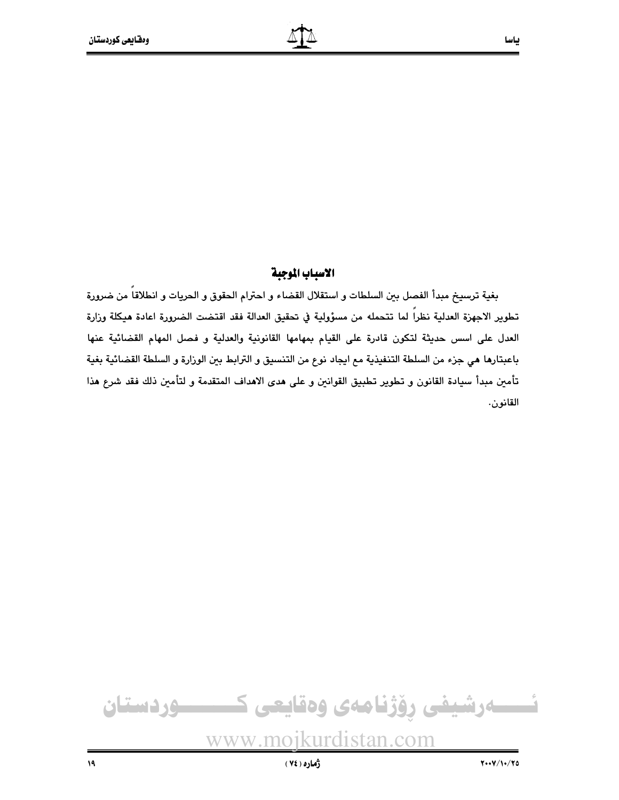#### الاسياب الموجية

بغية ترسيخ مبدأ الفصل بين السلطات و استقلال القضاء و احترام الحقوق و الحريات و انطلاقاً من ضرورة تطوير الاجهزة العدلية نظرا لما تتحمله من مسؤولية في تحقيق العدالة فقد اقتضت الضرورة اعادة هيكلة وزارة العدل على اسس حديثة لتكون قادرة على القيام بمهامها القانونية والعدلية و فصل المهام القضائية عنها باعبتارها هي جزء من السلطة التنفيذية مع ايجاد نوع من التنسيق و الترابط بين الوزارة و السلطة القضائية بغية تأمين مبدأ سيادة القانون و تطوير تطبيق القوانين و على هدى الاهداف المتقدمة و لتأمين ذلك فقد شرع هذا القانون.